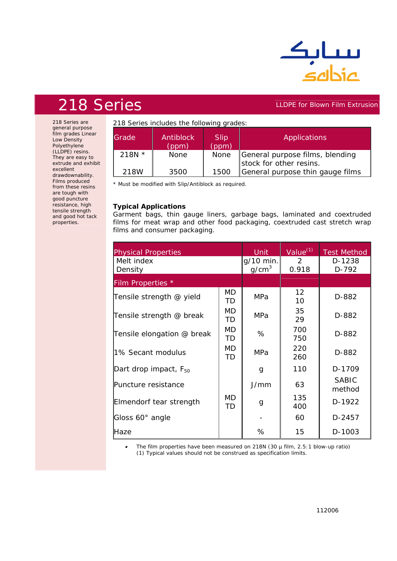

## 218 Series **LLDPE for Blown Film Extrusion**

218 Series are general purpose film grades Linear Low Density Polyethylene (LLDPE) resins. They are easy to extrude and exhibit excellent drawdownability. Films produced from these resins are tough with good puncture resistance, high tensile strength and good hot tack properties.

218 Series includes the following grades:

| <b>Grade</b> | Antiblock<br>(ppm) | <b>Slip</b><br>(ppm) | Applications                                               |
|--------------|--------------------|----------------------|------------------------------------------------------------|
| 218N $*$     | <b>None</b>        | None                 | General purpose films, blending<br>stock for other resins. |
| 218W         | 3500               | 1500                 | General purpose thin gauge films                           |

*\* Must be modified with Slip/Antiblock as required.*

## **Typical Applications**

Garment bags, thin gauge liners, garbage bags, laminated and coextruded films for meat wrap and other food packaging, coextruded cast stretch wrap films and consumer packaging.

| <b>Physical Properties</b>        | <b>Unit</b>                    | Value $(1)$            | <b>Test Method</b> |                        |
|-----------------------------------|--------------------------------|------------------------|--------------------|------------------------|
| Melt index<br>Density             | g/10 min.<br>q/cm <sup>3</sup> | $\mathcal{L}$<br>0.918 | D-1238<br>$D-792$  |                        |
| Film Properties *                 |                                |                        |                    |                        |
| Tensile strength @ yield          | MD<br><b>TD</b>                | MPa                    | 12<br>10           | D-882                  |
| Tensile strength @ break          | MD<br>TD.                      | MPa                    | 35<br>29           | D-882                  |
| Tensile elongation @ break        | <b>MD</b><br><b>TD</b>         | %                      | 700<br>750         | D-882                  |
| 1% Secant modulus                 | MD<br><b>TD</b>                | MPa                    | 220<br>260         | D-882                  |
| Dart drop impact, F <sub>50</sub> |                                | g                      | 110                | D-1709                 |
| Puncture resistance               | <b>MD</b><br>TD                | J/mm                   | 63                 | <b>SABIC</b><br>method |
| Elmendorf tear strength           |                                | g                      | 135<br>400         | D-1922                 |
| Gloss 60° angle                   |                                |                        | 60                 | D-2457                 |
| Haze                              |                                | %                      | 15                 | D-1003                 |

• *The film properties have been measured on 218N (30 µ film, 2.5:1 blow-up ratio) (1) Typical values should not be construed as specification limits.*